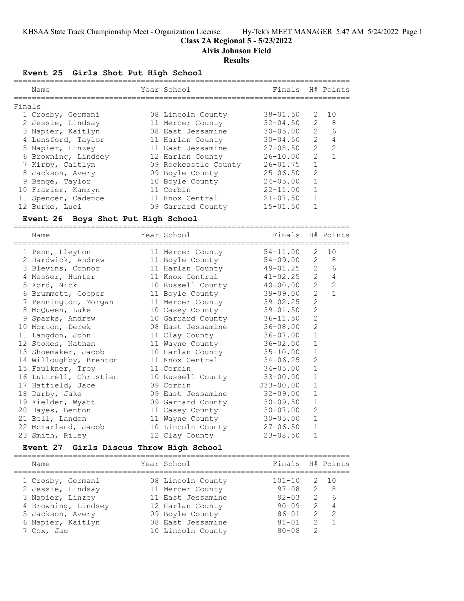# **Class 2A Regional 5 - 5/23/2022**

**Alvis Johnson Field**

#### **Results**

# **Event 25 Girls Shot Put High School**

|        | Name                | Year School          | Finals H# Points |                |                |
|--------|---------------------|----------------------|------------------|----------------|----------------|
| Finals |                     |                      |                  |                |                |
|        | 1 Crosby, Germani   | 08 Lincoln County    | $38 - 01.50$     | 2              | 10             |
|        | 2 Jessie, Lindsay   | 11 Mercer County     | $32 - 04.50$     | 2              | - 8            |
|        | 3 Napier, Kaitlyn   | 08 East Jessamine    | $30 - 05.00$     | 2              | 6              |
|        | 4 Lunsford, Taylor  | 11 Harlan County     | $30 - 04.50$     | $\overline{2}$ | $\overline{4}$ |
|        | 5 Napier, Linzey    | 11 East Jessamine    | $27 - 08.50$     | $\mathcal{L}$  | $\mathcal{L}$  |
|        | 6 Browning, Lindsey | 12 Harlan County     | $26 - 10.00$     | $\mathcal{L}$  |                |
|        | 7 Kirby, Caitlyn    | 09 Rockcastle County | $26 - 01.75$     |                |                |
|        | 8 Jackson, Avery    | 09 Boyle County      | $25 - 06.50$     | $\mathcal{L}$  |                |
|        | 9 Benge, Taylor     | 10 Boyle County      | $24 - 05.00$     |                |                |
|        | 10 Frazier, Kamryn  | 11 Corbin            | $22 - 11.00$     |                |                |
|        | 11 Spencer, Cadence | 11 Knox Central      | $21 - 07.50$     |                |                |
|        | 12 Burke, Luci      | 09 Garrard County    | $15 - 01.50$     |                |                |

# **Event 26 Boys Shot Put High School**

==========================================================================

| Name<br>================================= | Year School<br>==================================== | Finals H# Points |                |                |
|-------------------------------------------|-----------------------------------------------------|------------------|----------------|----------------|
| 1 Penn, Lleyton                           | 11 Mercer County                                    | 54-11.00         |                | $2 \t10$       |
| 2 Hardwick, Andrew                        | 11 Boyle County                                     | 54-09.00         |                | $2 \quad 8$    |
| 3 Blevins, Connor                         | 11 Harlan County 49-01.25 2                         |                  |                | 6              |
| 4 Messer, Hunter                          | 11 Knox Central                                     | $41 - 02.25$ 2   |                | $\overline{4}$ |
| 5 Ford, Nick                              | 10 Russell County 40-00.00                          |                  | $2^{\circ}$    | $\overline{2}$ |
| 6 Brummett, Cooper                        | 11 Boyle County                                     | 39-09.00         | $\overline{2}$ | $\mathbf{1}$   |
| 7 Pennington, Morgan                      | 11 Mercer County                                    | 39-02.25         | $\overline{2}$ |                |
| 8 McQueen, Luke                           | 10 Casey County                                     | $39 - 01.50$     | $\overline{2}$ |                |
| 9 Sparks, Andrew                          | 10 Garrard County                                   | $36 - 11.50$     | $\overline{2}$ |                |
| 10 Morton, Derek                          | 08 East Jessamine                                   | 36-08.00         | $\overline{2}$ |                |
| 11 Langdon, John                          | 11 Clay County                                      | $36 - 07.00$     | $\mathbf{1}$   |                |
| 12 Stokes, Nathan                         | 11 Wayne County                                     | 36-02.00         | $\mathbf{1}$   |                |
| 13 Shoemaker, Jacob                       | 10 Harlan County                                    | $35 - 10.00$     | $\mathbf{1}$   |                |
| 14 Willoughby, Brenton                    | 11 Knox Central                                     | $34 - 06.25$     | $\overline{2}$ |                |
| 15 Faulkner, Troy                         | 11 Corbin                                           | $34 - 05.00$     | $\mathbf{1}$   |                |
| 16 Luttrell, Christian                    | 10 Russell County                                   | $33 - 00.00$     | $\mathbf{1}$   |                |
| 17 Hatfield, Jace                         | 09 Corbin                                           | J33-00.00        | $\mathbf{1}$   |                |
| 18 Darby, Jake                            | 09 East Jessamine                                   | $32 - 09.00$     | $\mathbf{1}$   |                |
| 19 Fielder, Wyatt                         | 09 Garrard County                                   | $30 - 09.50$     | $\mathbf{1}$   |                |
| 20 Hayes, Benton                          | 11 Casey County                                     | $30 - 07.00$     | $\overline{c}$ |                |
| 21 Bell, Landon                           | 11 Wayne County                                     | $30 - 05.00$     | $\mathbf{1}$   |                |
| 22 McFarland, Jacob                       | 10 Lincoln County                                   | $27 - 06.50$     | $\mathbf{1}$   |                |
| 23 Smith, Riley                           | 12 Clay County                                      | $23 - 08.50$     | $\mathbf{1}$   |                |
|                                           |                                                     |                  |                |                |

# **Event 27 Girls Discus Throw High School**

| Name                | Year School       | Finals H# Points |               |                |
|---------------------|-------------------|------------------|---------------|----------------|
| 1 Crosby, Germani   | 08 Lincoln County | $101 - 10$       |               | 2 10           |
| 2 Jessie, Lindsay   | 11 Mercer County  | $97 - 08$        |               | 2 8            |
| 3 Napier, Linzey    | 11 East Jessamine | $92 - 0.3$       |               | 2 6            |
| 4 Browning, Lindsey | 12 Harlan County  | $90 - 09$        | $\mathcal{L}$ | $\overline{4}$ |
| 5 Jackson, Avery    | 09 Boyle County   | $86 - 01$        | $\mathcal{L}$ | - 2            |
| 6 Napier, Kaitlyn   | 08 East Jessamine | $81 - 01$        | 2             | $\sqrt{1}$     |
| 7 Cox, Jae          | 10 Lincoln County | $80 - 08$        | $\mathcal{P}$ |                |
|                     |                   |                  |               |                |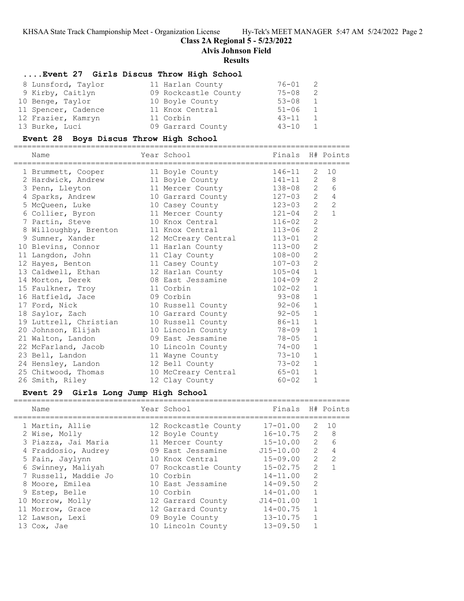# **Class 2A Regional 5 - 5/23/2022**

==========================================================================

**Alvis Johnson Field**

#### **Results**

# **....Event 27 Girls Discus Throw High School**

| 8 Lunsford, Taylor  | 11 Harlan County     | 76-01     |   |
|---------------------|----------------------|-----------|---|
| 9 Kirby, Caitlyn    | 09 Rockcastle County | $75 - 08$ | 2 |
| 10 Benge, Taylor    | 10 Boyle County      | $53 - 08$ | 1 |
| 11 Spencer, Cadence | 11 Knox Central      | $51 - 06$ |   |
| 12 Frazier, Kamryn  | 11 Corbin            | $43 - 11$ |   |
| 13 Burke, Luci      | 09 Garrard County    | $43 - 10$ |   |

# **Event 28 Boys Discus Throw High School**

| Name                                                                            | Year School                | Finals H# Points |                |                |
|---------------------------------------------------------------------------------|----------------------------|------------------|----------------|----------------|
| 1 Brummett, Cooper 11 Boyle County 146-11                                       |                            |                  | $\overline{2}$ | 10             |
| 2 Hardwick, Andrew 11 Boyle County 141-11 2                                     |                            |                  |                | 8 <sup>8</sup> |
| 3 Penn, Lleyton 11 Mercer County 138-08 2                                       |                            |                  |                | 6              |
| 4 Sparks, Andrew                                                                | 10 Garrard County 127-03 2 |                  |                | $\overline{4}$ |
| 5 McQueen, Luke 10 Casey County 123-03 2                                        |                            |                  |                | $\overline{c}$ |
| 6 Collier, Byron 11 Mercer County 121-04                                        |                            |                  | 2              | $\mathbf{1}$   |
| 7 Partin, Steve                                                                 | 10 Knox Central 116-02     |                  | $\overline{2}$ |                |
| 8 Willoughby, Brenton                                                           | 11 Knox Central 113-06     |                  | $\overline{2}$ |                |
| 9 Sumner, Xander                                                                | 12 McCreary Central 113-01 |                  | $\overline{2}$ |                |
| 10 Blevins, Connor                                                              | 11 Harlan County 113-00    |                  | $\overline{2}$ |                |
| 11 Langdon, John                                                                | 11 Clay County             | $108 - 00$       | $\overline{2}$ |                |
| 12 Hayes, Benton                                                                | 11 Casey County 107-03     |                  | $\overline{2}$ |                |
| 13 Caldwell, Ethan                                                              | 12 Harlan County 105-04    |                  | $\mathbf{1}$   |                |
| 14 Morton, Derek 68 East Jessamine 104-09<br>15 Faulkner, Troy 11 Corbin 102-02 |                            |                  | $\overline{c}$ |                |
|                                                                                 |                            | $102 - 02$       | $\mathbf{1}$   |                |
| 16 Hatfield, Jace 69 Corbin                                                     |                            | $93 - 08$        | $\mathbf{1}$   |                |
| 17 Ford, Nick                                                                   | 10 Russell County 92-06    |                  | $\mathbf{1}$   |                |
| 18 Saylor, Zach                                                                 | 10 Garrard County 92-05    |                  | $\mathbf{1}$   |                |
| 19 Luttrell, Christian 10 Russell County 86-11                                  |                            |                  | $\mathbf{1}$   |                |
| 20 Johnson, Elijah                                                              | 10 Lincoln County 78-09    |                  | $\mathbf{1}$   |                |
| 21 Walton, Landon 69 East Jessamine 78-05                                       |                            |                  | $\mathbf{1}$   |                |
| 22 McFarland, Jacob 10 Lincoln County 74-00                                     |                            |                  | $\mathbf{1}$   |                |
| 23 Bell, Landon                                                                 | 11 Wayne County 73-10      |                  | $\mathbf{1}$   |                |
| 24 Hensley, Landon 12 Bell County 73-02                                         |                            |                  | $\mathbf{1}$   |                |
| 25 Chitwood, Thomas                                                             | 10 McCreary Central 65-01  |                  | $\mathbf{1}$   |                |
| 26 Smith, Riley                                                                 | 12 Clay County             | 60-02            | $\mathbf{1}$   |                |

# **Event 29 Girls Long Jump High School**

| Name                 | Year School          | Finals H# Points |               |                |
|----------------------|----------------------|------------------|---------------|----------------|
| 1 Martin, Allie      | 12 Rockcastle County | $17 - 01.00$     | 2             | 10             |
| 2 Wise, Molly        | 12 Boyle County      | $16 - 10.75$     | 2             | - 8            |
| 3 Piazza, Jai Maria  | 11 Mercer County     | $15 - 10.00$     | $2^{\circ}$   | 6              |
| 4 Fraddosio, Audrey  | 09 East Jessamine    | $J15 - 10.00$    | $2^{\circ}$   | $\overline{4}$ |
| 5 Fain, Jaylynn      | 10 Knox Central      | 15-09.00         | $\mathcal{P}$ | $\mathcal{P}$  |
| 6 Swinney, Maliyah   | 07 Rockcastle County | $15 - 02.75$     | $\mathcal{L}$ |                |
| 7 Russell, Maddie Jo | 10 Corbin            | $14 - 11.00$     | $\mathcal{L}$ |                |
| 8 Moore, Emilea      | 10 East Jessamine    | $14 - 09.50$     | $\mathcal{L}$ |                |
| 9 Estep, Belle       | 10 Corbin            | $14 - 01.00$     |               |                |
| 10 Morrow, Molly     | 12 Garrard County    | $J14 - 01.00$    |               |                |
| 11 Morrow, Grace     | 12 Garrard County    | $14 - 00.75$     |               |                |
| 12 Lawson, Lexi      | 09 Boyle County      | $13 - 10.75$     |               |                |
| 13 Cox, Jae          | 10 Lincoln County    | $13 - 09.50$     |               |                |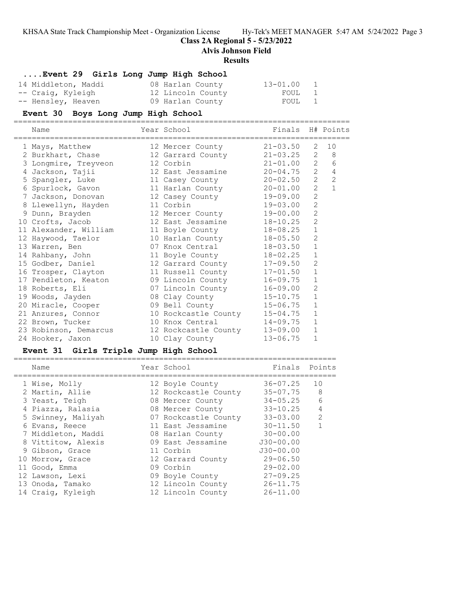**Class 2A Regional 5 - 5/23/2022**

**Alvis Johnson Field**

#### **Results**

# **....Event 29 Girls Long Jump High School**

| 14 Middleton, Maddi | 08 Harlan County  | 13-01.00 |  |
|---------------------|-------------------|----------|--|
| -- Craig, Kyleigh   | 12 Lincoln County | FOUL 1   |  |
| -- Hensley, Heaven  | 09 Harlan County  | FOUL 1   |  |

# **Event 30 Boys Long Jump High School**

==========================================================================

| Name | Year School | Finals H# Points |
|------|-------------|------------------|
|------|-------------|------------------|

| 1 Mays, Matthew       | 12 Mercer County              | $21 - 03.50$ |                | 2 10           |
|-----------------------|-------------------------------|--------------|----------------|----------------|
| 2 Burkhart, Chase     | 12 Garrard County 21-03.25    |              | 2              | 8 <sup>8</sup> |
| 3 Longmire, Treyveon  | 12 Corbin                     | $21 - 01.00$ | 2              | 6              |
| 4 Jackson, Tajii      | 12 East Jessamine 20-04.75    |              | 2              | $\overline{4}$ |
| 5 Spangler, Luke      | 11 Casey County               | $20 - 02.50$ | 2              | $\overline{2}$ |
| 6 Spurlock, Gavon     | 11 Harlan County              | 20-01.00     | $\overline{2}$ | $\mathbf{1}$   |
| 7 Jackson, Donovan    | 12 Casey County               | 19-09.00     | $\overline{2}$ |                |
| 8 Llewellyn, Hayden   | 11 Corbin                     | $19 - 03.00$ | $\overline{2}$ |                |
| 9 Dunn, Brayden       | 12 Mercer County              | 19-00.00     | $\overline{c}$ |                |
| 10 Crofts, Jacob      | 12 East Jessamine             | 18-10.25     | $\overline{2}$ |                |
| 11 Alexander, William | 11 Boyle County               | $18 - 08.25$ | $\mathbf{1}$   |                |
| 12 Haywood, Taelor    | 10 Harlan County              | $18 - 05.50$ | $\overline{2}$ |                |
| 13 Warren, Ben        | 07 Knox Central               | $18 - 03.50$ | $\mathbf{1}$   |                |
| 14 Rahbany, John      | 11 Boyle County               | $18 - 02.25$ | $\mathbf{1}$   |                |
| 15 Godber, Daniel     | 12 Garrard County             | 17-09.50     | $\overline{2}$ |                |
| 16 Trosper, Clayton   | 11 Russell County             | $17 - 01.50$ | $\mathbf{1}$   |                |
| 17 Pendleton, Keaton  | 09 Lincoln County             | $16 - 09.75$ | $\mathbf{1}$   |                |
| 18 Roberts, Eli       | 07 Lincoln County             | $16 - 09.00$ | $\overline{2}$ |                |
| 19 Woods, Jayden      | 08 Clay County                | $15 - 10.75$ | $\mathbf{1}$   |                |
| 20 Miracle, Cooper    | 09 Bell County                | $15 - 06.75$ | $\mathbf{1}$   |                |
| 21 Anzures, Connor    | 10 Rockcastle County 15-04.75 |              | $\mathbf{1}$   |                |
| 22 Brown, Tucker      | 10 Knox Central               | $14 - 09.75$ | $\mathbf{1}$   |                |
| 23 Robinson, Demarcus | 12 Rockcastle County          | $13 - 09.00$ | $\mathbf{1}$   |                |
| 24 Hooker, Jaxon      | 10 Clay County                | $13 - 06.75$ | $\mathbf{1}$   |                |

# **Event 31 Girls Triple Jump High School**

| Name               | Year School          | Finals        | Points        |
|--------------------|----------------------|---------------|---------------|
| 1 Wise, Molly      | 12 Boyle County      | $36 - 07.25$  | 10            |
| 2 Martin, Allie    | 12 Rockcastle County | $35 - 07.75$  | 8             |
| 3 Yeast, Teigh     | 08 Mercer County     | $34 - 05.25$  | 6             |
| 4 Piazza, Ralasia  | 08 Mercer County     | $33 - 10.25$  | 4             |
| 5 Swinney, Maliyah | 07 Rockcastle County | $33 - 03.00$  | $\mathcal{L}$ |
| 6 Evans, Reece     | 11 East Jessamine    | $30 - 11.50$  |               |
| 7 Middleton, Maddi | 08 Harlan County     | $30 - 00.00$  |               |
| 8 Vittitow, Alexis | 09 East Jessamine    | $J30 - 00.00$ |               |
| 9 Gibson, Grace    | 11 Corbin            | $J30 - 00.00$ |               |
| 10 Morrow, Grace   | 12 Garrard County    | $29 - 06.50$  |               |
| 11 Good, Emma      | 09 Corbin            | $29 - 02.00$  |               |
| 12 Lawson, Lexi    | 09 Boyle County      | $27 - 09.25$  |               |
| 13 Onoda, Tamako   | 12 Lincoln County    | $26 - 11.75$  |               |
| 14 Craiq, Kyleigh  | 12 Lincoln County    | $26 - 11.00$  |               |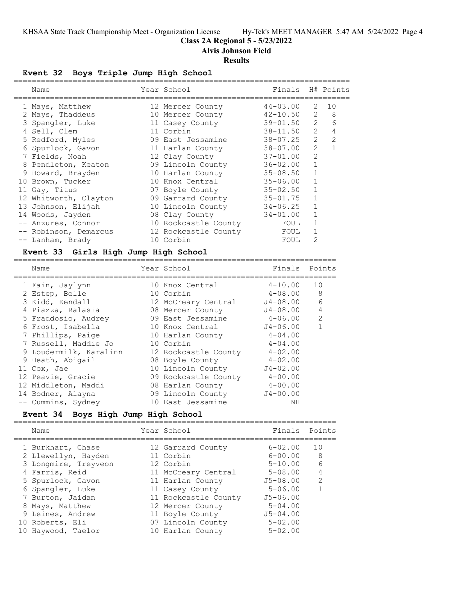#### **Class 2A Regional 5 - 5/23/2022**

**Alvis Johnson Field**

#### **Results**

#### **Event 32 Boys Triple Jump High School**

| Name                  | Year School          | Finals H# Points |                                                                                                                                                                                                                                                                                                                                                                                                                            |                |
|-----------------------|----------------------|------------------|----------------------------------------------------------------------------------------------------------------------------------------------------------------------------------------------------------------------------------------------------------------------------------------------------------------------------------------------------------------------------------------------------------------------------|----------------|
| 1 Mays, Matthew       | 12 Mercer County     | 44-03.00         | 2                                                                                                                                                                                                                                                                                                                                                                                                                          | 10             |
| 2 Mays, Thaddeus      | 10 Mercer County     | $42 - 10.50$     | 2                                                                                                                                                                                                                                                                                                                                                                                                                          | 8              |
| 3 Spangler, Luke      | 11 Casey County      | $39 - 01.50$     | 2                                                                                                                                                                                                                                                                                                                                                                                                                          | 6              |
| 4 Sell, Clem          | 11 Corbin            | $38 - 11.50$     | $\mathcal{L}$                                                                                                                                                                                                                                                                                                                                                                                                              | $\overline{4}$ |
| 5 Redford, Myles      | 09 East Jessamine    | $38 - 07.25$     | $\mathcal{L}$                                                                                                                                                                                                                                                                                                                                                                                                              | $\mathcal{L}$  |
| 6 Spurlock, Gavon     | 11 Harlan County     | 38-07.00         | $\mathcal{L}$                                                                                                                                                                                                                                                                                                                                                                                                              |                |
| 7 Fields, Noah        | 12 Clay County       | $37 - 01.00$     | $\mathcal{L}$                                                                                                                                                                                                                                                                                                                                                                                                              |                |
| 8 Pendleton, Keaton   | 09 Lincoln County    | $36 - 02.00$     | 1                                                                                                                                                                                                                                                                                                                                                                                                                          |                |
| 9 Howard, Brayden     | 10 Harlan County     | $35 - 08.50$     | $\mathbf{1}$                                                                                                                                                                                                                                                                                                                                                                                                               |                |
| 10 Brown, Tucker      | 10 Knox Central      | $35 - 06.00$     | 1                                                                                                                                                                                                                                                                                                                                                                                                                          |                |
| 11 Gay, Titus         | 07 Boyle County      | $35 - 02.50$     | $\mathbf{1}$                                                                                                                                                                                                                                                                                                                                                                                                               |                |
| 12 Whitworth, Clayton | 09 Garrard County    | $35 - 01.75$     |                                                                                                                                                                                                                                                                                                                                                                                                                            |                |
| 13 Johnson, Elijah    | 10 Lincoln County    | $34 - 06.25$     |                                                                                                                                                                                                                                                                                                                                                                                                                            |                |
| 14 Woods, Jayden      | 08 Clay County       | $34 - 01.00$     |                                                                                                                                                                                                                                                                                                                                                                                                                            |                |
| -- Anzures, Connor    | 10 Rockcastle County | FOUL             |                                                                                                                                                                                                                                                                                                                                                                                                                            |                |
| -- Robinson, Demarcus | 12 Rockcastle County | FOUL             |                                                                                                                                                                                                                                                                                                                                                                                                                            |                |
| -- Lanham, Brady      | 10 Corbin            | FOUL             | $\mathfrak{D}_{1}^{2}(\mathfrak{D}_{1})=\mathfrak{D}_{2}^{2}(\mathfrak{D}_{2})=\mathfrak{D}_{2}^{2}(\mathfrak{D}_{1})=\mathfrak{D}_{2}^{2}(\mathfrak{D}_{2})=\mathfrak{D}_{2}^{2}(\mathfrak{D}_{1})=\mathfrak{D}_{2}^{2}(\mathfrak{D}_{1})=\mathfrak{D}_{2}^{2}(\mathfrak{D}_{1})=\mathfrak{D}_{2}^{2}(\mathfrak{D}_{1})=\mathfrak{D}_{2}^{2}(\mathfrak{D}_{1})=\mathfrak{D}_{2}^{2}(\mathfrak{D}_{1})=\mathfrak{D}_{2}^{$ |                |

#### **Event 33 Girls High Jump High School**

======================================================================= Name Year School Finals Points ======================================================================= 1 Fain, Jaylynn 10 Knox Central 4-10.00 10 2 Estep, Belle 10 Corbin 4-08.00 8 3 Kidd, Kendall 12 McCreary Central J4-08.00 6 4 Piazza, Ralasia 08 Mercer County J4-08.00 4 5 Fraddosio, Audrey 09 East Jessamine 4-06.00 2 6 Frost, Isabella 10 Knox Central J4-06.00 1 7 Phillips, Paige 10 Harlan County 4-04.00 7 Russell, Maddie Jo 10 Corbin 1 4-04.00 9 Loudermilk, Karalinn 12 Rockcastle County 4-02.00 9 Heath, Abigail 08 Boyle County 4-02.00 11 Cox, Jae 10 Lincoln County J4-02.00 12 Peavie, Gracie 09 Rockcastle County 4-00.00 12 Middleton, Maddi 08 Harlan County 4-00.00 14 Bodner, Alayna 09 Lincoln County J4-00.00 -- Cummins, Sydney 10 East Jessamine NH

### **Event 34 Boys High Jump High School**

=======================================================================

|  | Name                 | Year School          | Finals       | Points         |
|--|----------------------|----------------------|--------------|----------------|
|  | 1 Burkhart, Chase    | 12 Garrard County    | $6 - 02.00$  | 10             |
|  | 2 Llewellyn, Hayden  | 11 Corbin            | $6 - 00.00$  | - 8            |
|  | 3 Longmire, Treyveon | 12 Corbin            | $5 - 10.00$  | 6              |
|  | 4 Farris, Reid       | 11 McCreary Central  | $5 - 08.00$  | $\overline{4}$ |
|  | 5 Spurlock, Gavon    | 11 Harlan County     | $J5 - 08.00$ | $\mathcal{L}$  |
|  | 6 Spangler, Luke     | 11 Casey County      | $5 - 06.00$  |                |
|  | 7 Burton, Jaidan     | 11 Rockcastle County | $J5 - 06.00$ |                |
|  | 8 Mays, Matthew      | 12 Mercer County     | $5 - 04.00$  |                |
|  | 9 Leines, Andrew     | 11 Boyle County      | $J5 - 04.00$ |                |
|  | 10 Roberts, Eli      | 07 Lincoln County    | $5 - 02.00$  |                |
|  | 10 Haywood, Taelor   | 10 Harlan County     | $5 - 02.00$  |                |
|  |                      |                      |              |                |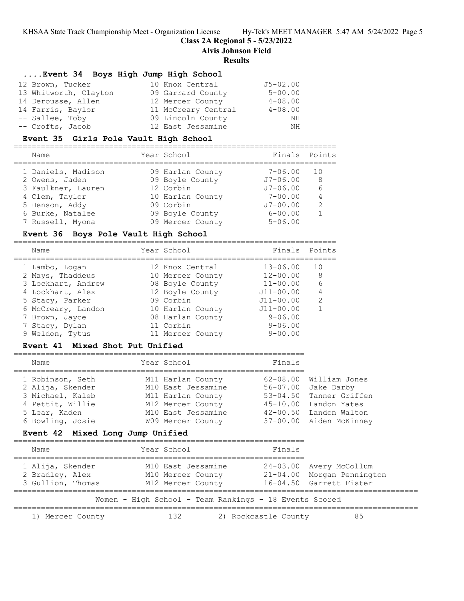**Class 2A Regional 5 - 5/23/2022**

**Alvis Johnson Field**

#### **Results**

#### **....Event 34 Boys High Jump High School**

| 12 Brown, Tucker      | 10 Knox Central     | $J5 - 02.00$ |
|-----------------------|---------------------|--------------|
| 13 Whitworth, Clayton | 09 Garrard County   | $5 - 00.00$  |
| 14 Derousse, Allen    | 12 Mercer County    | $4 - 08.00$  |
| 14 Farris, Baylor     | 11 McCreary Central | $4 - 08.00$  |
| -- Sallee, Toby       | 09 Lincoln County   | NH           |
| -- Crofts, Jacob      | 12 East Jessamine   | ΝH           |

#### **Event 35 Girls Pole Vault High School**

======================================================================= Year School Finals Points ======================================================================= 1 Daniels, Madison 09 Harlan County 7-06.00 10 2 Owens, Jaden 09 Boyle County J7-06.00 8 3 Faulkner, Lauren 12 Corbin J7-06.00 6 4 Clem, Taylor 10 Harlan County 7-00.00 4 5 Henson, Addy 09 Corbin J7-00.00 2 6 Burke, Natalee 09 Boyle County 6-00.00 1 7 Russell, Myona 09 Mercer County 5-06.00

#### **Event 36 Boys Pole Vault High School**

| Name               | Year School      | Finals Points |               |
|--------------------|------------------|---------------|---------------|
| 1 Lambo, Logan     | 12 Knox Central  | $13 - 06.00$  | 1 O           |
| 2 Mays, Thaddeus   | 10 Mercer County | $12 - 00.00$  | 8             |
| 3 Lockhart, Andrew | 08 Boyle County  | $11 - 00.00$  | 6             |
| 4 Lockhart, Alex   | 12 Boyle County  | $J11 - 00.00$ |               |
| 5 Stacy, Parker    | 09 Corbin        | $J11 - 00.00$ | $\mathcal{L}$ |
| 6 McCreary, Landon | 10 Harlan County | $J11 - 00.00$ |               |
| 7 Brown, Jayce     | 08 Harlan County | $9 - 06.00$   |               |
| 7 Stacy, Dylan     | 11 Corbin        | $9 - 06.00$   |               |
| 9 Weldon, Tytus    | 11 Mercer County | $9 - 00.00$   |               |
|                    |                  |               |               |

#### **Event 41 Mixed Shot Put Unified**

| Name             | Year School        | Finals                  |  |
|------------------|--------------------|-------------------------|--|
| 1 Robinson, Seth | M11 Harlan County  | 62-08.00 William Jones  |  |
| 2 Alija, Skender | M10 East Jessamine | 56-07.00 Jake Darby     |  |
| 3 Michael, Kaleb | M11 Harlan County  | 53-04.50 Tanner Griffen |  |
| 4 Pettit, Willie | M12 Mercer County  | 45-10.00 Landon Yates   |  |
| 5 Lear, Kaden    | M10 East Jessamine | 42-00.50 Landon Walton  |  |
| 6 Bowling, Josie | W09 Mercer County  | 37-00.00 Aiden McKinney |  |

#### **Event 42 Mixed Long Jump Unified**

| Name                                                     | Year School                                                  | Finals               |                                                                                  |
|----------------------------------------------------------|--------------------------------------------------------------|----------------------|----------------------------------------------------------------------------------|
| 1 Alija, Skender<br>2 Bradley, Alex<br>3 Gullion, Thomas | M10 East Jessamine<br>M10 Mercer County<br>M12 Mercer County |                      | 24-03.00 Avery McCollum<br>21-04.00 Morgan Pennington<br>16-04.50 Garrett Fister |
|                                                          | Women - High School - Team Rankings - 18 Events Scored       |                      |                                                                                  |
| 1) Mercer County                                         | 132                                                          | 2) Rockcastle County | 85                                                                               |